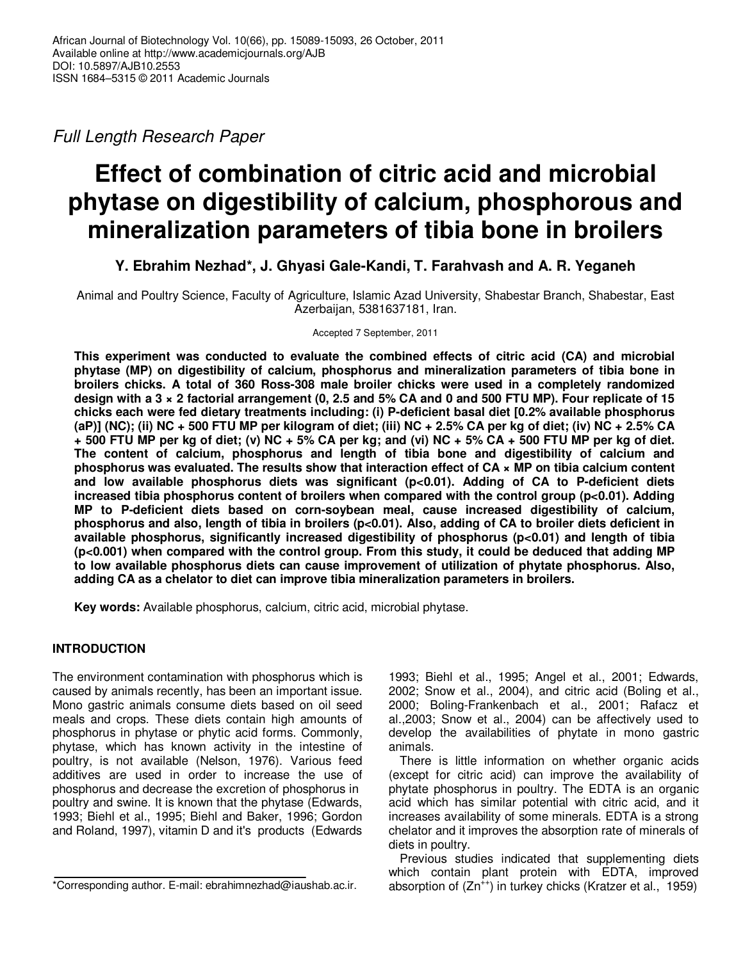Full Length Research Paper

# **Effect of combination of citric acid and microbial phytase on digestibility of calcium, phosphorous and mineralization parameters of tibia bone in broilers**

# **Y. Ebrahim Nezhad\*, J. Ghyasi Gale-Kandi, T. Farahvash and A. R. Yeganeh**

Animal and Poultry Science, Faculty of Agriculture, Islamic Azad University, Shabestar Branch, Shabestar, East Azerbaijan, 5381637181, Iran.

Accepted 7 September, 2011

**This experiment was conducted to evaluate the combined effects of citric acid (CA) and microbial phytase (MP) on digestibility of calcium, phosphorus and mineralization parameters of tibia bone in broilers chicks. A total of 360 Ross-308 male broiler chicks were used in a completely randomized design with a 3 × 2 factorial arrangement (0, 2.5 and 5% CA and 0 and 500 FTU MP). Four replicate of 15 chicks each were fed dietary treatments including: (i) P-deficient basal diet [0.2% available phosphorus (aP)] (NC); (ii) NC + 500 FTU MP per kilogram of diet; (iii) NC + 2.5% CA per kg of diet; (iv) NC + 2.5% CA + 500 FTU MP per kg of diet; (v) NC + 5% CA per kg; and (vi) NC + 5% CA + 500 FTU MP per kg of diet. The content of calcium, phosphorus and length of tibia bone and digestibility of calcium and phosphorus was evaluated. The results show that interaction effect of CA × MP on tibia calcium content** and low available phosphorus diets was significant (p<0.01). Adding of CA to P-deficient diets **increased tibia phosphorus content of broilers when compared with the control group (p<0.01). Adding MP to P-deficient diets based on corn-soybean meal, cause increased digestibility of calcium, phosphorus and also, length of tibia in broilers (p<0.01). Also, adding of CA to broiler diets deficient in available phosphorus, significantly increased digestibility of phosphorus (p<0.01) and length of tibia (p<0.001) when compared with the control group. From this study, it could be deduced that adding MP to low available phosphorus diets can cause improvement of utilization of phytate phosphorus. Also, adding CA as a chelator to diet can improve tibia mineralization parameters in broilers.** 

**Key words:** Available phosphorus, calcium, citric acid, microbial phytase.

## **INTRODUCTION**

The environment contamination with phosphorus which is caused by animals recently, has been an important issue. Mono gastric animals consume diets based on oil seed meals and crops. These diets contain high amounts of phosphorus in phytase or phytic acid forms. Commonly, phytase, which has known activity in the intestine of poultry, is not available (Nelson, 1976). Various feed additives are used in order to increase the use of phosphorus and decrease the excretion of phosphorus in poultry and swine. It is known that the phytase (Edwards, 1993; Biehl et al., 1995; Biehl and Baker, 1996; Gordon and Roland, 1997), vitamin D and it's products (Edwards

1993; Biehl et al., 1995; Angel et al., 2001; Edwards, 2002; Snow et al., 2004), and citric acid (Boling et al., 2000; Boling-Frankenbach et al., 2001; Rafacz et al.,2003; Snow et al., 2004) can be affectively used to develop the availabilities of phytate in mono gastric animals.

There is little information on whether organic acids (except for citric acid) can improve the availability of phytate phosphorus in poultry. The EDTA is an organic acid which has similar potential with citric acid, and it increases availability of some minerals. EDTA is a strong chelator and it improves the absorption rate of minerals of diets in poultry.

Previous studies indicated that supplementing diets which contain plant protein with EDTA, improved absorption of  $(Zn^{+1})$  in turkey chicks (Kratzer et al., 1959)

<sup>\*</sup>Corresponding author. E-mail: ebrahimnezhad@iaushab.ac.ir.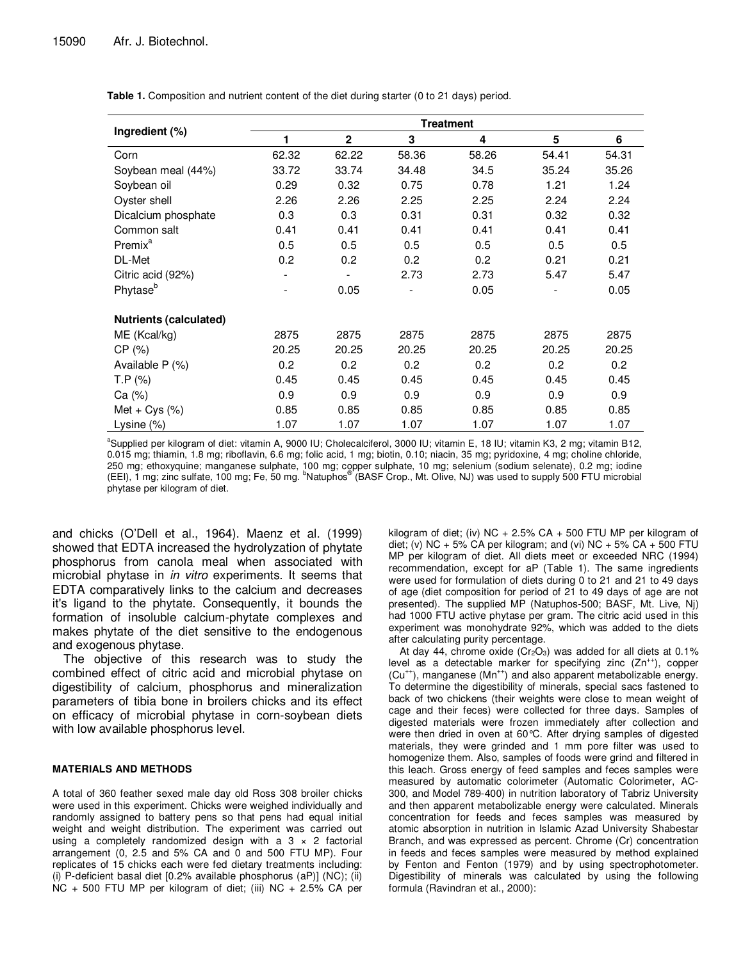**Table 1.** Composition and nutrient content of the diet during starter (0 to 21 days) period.

|                               | <b>Treatment</b> |              |       |       |       |       |  |  |  |
|-------------------------------|------------------|--------------|-------|-------|-------|-------|--|--|--|
| Ingredient (%)                | 1                | $\mathbf 2$  | 3     | 4     | 5     | 6     |  |  |  |
| Corn                          | 62.32            | 62.22        | 58.36 | 58.26 | 54.41 | 54.31 |  |  |  |
| Soybean meal (44%)            | 33.72            | 33.74        | 34.48 | 34.5  | 35.24 | 35.26 |  |  |  |
| Soybean oil                   | 0.29             | 0.32<br>0.75 |       | 0.78  | 1.21  | 1.24  |  |  |  |
| Oyster shell                  | 2.26             | 2.25<br>2.26 |       | 2.25  | 2.24  | 2.24  |  |  |  |
| Dicalcium phosphate           | 0.3              | 0.3<br>0.31  |       | 0.31  | 0.32  | 0.32  |  |  |  |
| Common salt                   | 0.41             | 0.41         | 0.41  | 0.41  | 0.41  | 0.41  |  |  |  |
| Premix <sup>a</sup>           | 0.5              | 0.5          | 0.5   | 0.5   | 0.5   | 0.5   |  |  |  |
| DL-Met                        | 0.2              | 0.2          | 0.2   | 0.2   | 0.21  | 0.21  |  |  |  |
| Citric acid (92%)             |                  |              | 2.73  | 2.73  | 5.47  | 5.47  |  |  |  |
| Phytase <sup>b</sup>          |                  | 0.05         |       | 0.05  |       | 0.05  |  |  |  |
| <b>Nutrients (calculated)</b> |                  |              |       |       |       |       |  |  |  |
| ME (Kcal/kg)                  | 2875             | 2875         | 2875  | 2875  | 2875  | 2875  |  |  |  |
| CP(%)                         | 20.25            | 20.25        | 20.25 | 20.25 | 20.25 | 20.25 |  |  |  |
| Available P (%)               | 0.2              | 0.2          | 0.2   | 0.2   | 0.2   | 0.2   |  |  |  |
| T.P. (%)                      | 0.45             | 0.45         | 0.45  | 0.45  | 0.45  | 0.45  |  |  |  |
| Ca (%)                        | 0.9              | 0.9          | 0.9   | 0.9   | 0.9   | 0.9   |  |  |  |
| Met + $Cys$ (%)               | 0.85             | 0.85         | 0.85  | 0.85  | 0.85  | 0.85  |  |  |  |
| Lysine $(\%)$                 | 1.07             | 1.07         | 1.07  | 1.07  | 1.07  | 1.07  |  |  |  |

<sup>a</sup>Supplied per kilogram of diet: vitamin A, 9000 IU; Cholecalciferol, 3000 IU; vitamin E, 18 IU; vitamin K3, 2 mg; vitamin B12, 0.015 mg; thiamin, 1.8 mg; riboflavin, 6.6 mg; folic acid, 1 mg; biotin, 0.10; niacin, 35 mg; pyridoxine, 4 mg; choline chloride, 250 mg; ethoxyquine; manganese sulphate, 100 mg; copper sulphate, 10 mg; selenium (sodium selenate), 0.2 mg; iodine (EEI), 1 mg; zinc sulfate, 100 mg; Fe, 50 mg. bNatuphos® (BASF Crop., Mt. Olive, NJ) was used to supply 500 FTU microbial phytase per kilogram of diet.

and chicks (O'Dell et al., 1964). Maenz et al. (1999) showed that EDTA increased the hydrolyzation of phytate phosphorus from canola meal when associated with microbial phytase in *in vitro* experiments. It seems that EDTA comparatively links to the calcium and decreases it's ligand to the phytate. Consequently, it bounds the formation of insoluble calcium-phytate complexes and makes phytate of the diet sensitive to the endogenous and exogenous phytase.

The objective of this research was to study the combined effect of citric acid and microbial phytase on digestibility of calcium, phosphorus and mineralization parameters of tibia bone in broilers chicks and its effect on efficacy of microbial phytase in corn-soybean diets with low available phosphorus level.

#### **MATERIALS AND METHODS**

A total of 360 feather sexed male day old Ross 308 broiler chicks were used in this experiment. Chicks were weighed individually and randomly assigned to battery pens so that pens had equal initial weight and weight distribution. The experiment was carried out using a completely randomized design with a  $3 \times 2$  factorial arrangement (0, 2.5 and 5% CA and 0 and 500 FTU MP). Four replicates of 15 chicks each were fed dietary treatments including: (i) P-deficient basal diet [0.2% available phosphorus (aP)] (NC); (ii)  $NC + 500$  FTU MP per kilogram of diet; (iii)  $NC + 2.5\%$  CA per kilogram of diet; (iv) NC + 2.5% CA + 500 FTU MP per kilogram of diet; (v) NC  $+5\%$  CA per kilogram; and (vi) NC  $+5\%$  CA  $+500$  FTU MP per kilogram of diet. All diets meet or exceeded NRC (1994) recommendation, except for aP (Table 1). The same ingredients were used for formulation of diets during 0 to 21 and 21 to 49 days of age (diet composition for period of 21 to 49 days of age are not presented). The supplied MP (Natuphos-500; BASF, Mt. Live, Nj) had 1000 FTU active phytase per gram. The citric acid used in this experiment was monohydrate 92%, which was added to the diets after calculating purity percentage.

At day 44, chrome oxide  $(Cr<sub>2</sub>O<sub>3</sub>)$  was added for all diets at 0.1% level as a detectable marker for specifying zinc (Zn<sup>++</sup>), copper  $(Cu^{+})$ , manganese  $(Mn^{+})$  and also apparent metabolizable energy. To determine the digestibility of minerals, special sacs fastened to back of two chickens (their weights were close to mean weight of cage and their feces) were collected for three days. Samples of digested materials were frozen immediately after collection and were then dried in oven at 60°C. After drying samples of digested materials, they were grinded and 1 mm pore filter was used to homogenize them. Also, samples of foods were grind and filtered in this leach. Gross energy of feed samples and feces samples were measured by automatic colorimeter (Automatic Colorimeter, AC-300, and Model 789-400) in nutrition laboratory of Tabriz University and then apparent metabolizable energy were calculated. Minerals concentration for feeds and feces samples was measured by atomic absorption in nutrition in Islamic Azad University Shabestar Branch, and was expressed as percent. Chrome (Cr) concentration in feeds and feces samples were measured by method explained by Fenton and Fenton (1979) and by using spectrophotometer. Digestibility of minerals was calculated by using the following formula (Ravindran et al., 2000):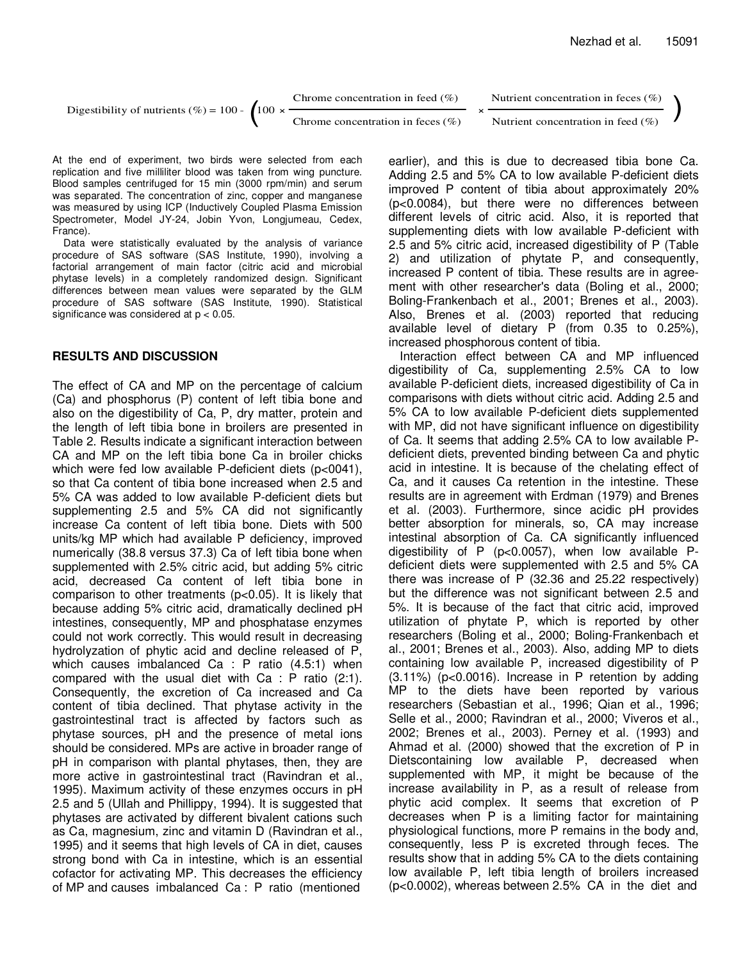Digestibility of nutrients (
$$
\%
$$
) = 100 -  $\left(100 \times \frac{\text{Chrome concentration in feed } (\%)}{\text{Chrome concentration in feces } (\%)} \times \frac{\text{Nutrient concentration in feces } (\%)}{\text{Nutrient concentration in feed } (\%)}\right)$ 

At the end of experiment, two birds were selected from each replication and five milliliter blood was taken from wing puncture. Blood samples centrifuged for 15 min (3000 rpm/min) and serum was separated. The concentration of zinc, copper and manganese was measured by using ICP (Inductively Coupled Plasma Emission Spectrometer, Model JY-24, Jobin Yvon, Longjumeau, Cedex, France).

Data were statistically evaluated by the analysis of variance procedure of SAS software (SAS Institute, 1990), involving a factorial arrangement of main factor (citric acid and microbial phytase levels) in a completely randomized design. Significant differences between mean values were separated by the GLM procedure of SAS software (SAS Institute, 1990). Statistical significance was considered at p < 0.05.

### **RESULTS AND DISCUSSION**

The effect of CA and MP on the percentage of calcium (Ca) and phosphorus (P) content of left tibia bone and also on the digestibility of Ca, P, dry matter, protein and the length of left tibia bone in broilers are presented in Table 2. Results indicate a significant interaction between CA and MP on the left tibia bone Ca in broiler chicks which were fed low available P-deficient diets (p<0041), so that Ca content of tibia bone increased when 2.5 and 5% CA was added to low available P-deficient diets but supplementing 2.5 and 5% CA did not significantly increase Ca content of left tibia bone. Diets with 500 units/kg MP which had available P deficiency, improved numerically (38.8 versus 37.3) Ca of left tibia bone when supplemented with 2.5% citric acid, but adding 5% citric acid, decreased Ca content of left tibia bone in comparison to other treatments (p<0.05). It is likely that because adding 5% citric acid, dramatically declined pH intestines, consequently, MP and phosphatase enzymes could not work correctly. This would result in decreasing hydrolyzation of phytic acid and decline released of P, which causes imbalanced Ca : P ratio (4.5:1) when compared with the usual diet with Ca : P ratio (2:1). Consequently, the excretion of Ca increased and Ca content of tibia declined. That phytase activity in the gastrointestinal tract is affected by factors such as phytase sources, pH and the presence of metal ions should be considered. MPs are active in broader range of pH in comparison with plantal phytases, then, they are more active in gastrointestinal tract (Ravindran et al., 1995). Maximum activity of these enzymes occurs in pH 2.5 and 5 (Ullah and Phillippy, 1994). It is suggested that phytases are activated by different bivalent cations such as Ca, magnesium, zinc and vitamin D (Ravindran et al., 1995) and it seems that high levels of CA in diet, causes strong bond with Ca in intestine, which is an essential cofactor for activating MP. This decreases the efficiency of MP and causes imbalanced Ca : P ratio (mentioned

earlier), and this is due to decreased tibia bone Ca. Adding 2.5 and 5% CA to low available P-deficient diets improved P content of tibia about approximately 20% (p<0.0084), but there were no differences between different levels of citric acid. Also, it is reported that supplementing diets with low available P-deficient with 2.5 and 5% citric acid, increased digestibility of P (Table 2) and utilization of phytate P, and consequently, increased P content of tibia. These results are in agreement with other researcher's data (Boling et al., 2000; Boling-Frankenbach et al., 2001; Brenes et al., 2003). Also, Brenes et al. (2003) reported that reducing available level of dietary P (from 0.35 to 0.25%), increased phosphorous content of tibia.

Interaction effect between CA and MP influenced digestibility of Ca, supplementing 2.5% CA to low available P-deficient diets, increased digestibility of Ca in comparisons with diets without citric acid. Adding 2.5 and 5% CA to low available P-deficient diets supplemented with MP, did not have significant influence on digestibility of Ca. It seems that adding 2.5% CA to low available Pdeficient diets, prevented binding between Ca and phytic acid in intestine. It is because of the chelating effect of Ca, and it causes Ca retention in the intestine. These results are in agreement with Erdman (1979) and Brenes et al. (2003). Furthermore, since acidic pH provides better absorption for minerals, so, CA may increase intestinal absorption of Ca. CA significantly influenced digestibility of  $P$  (p<0.0057), when low available  $P$ deficient diets were supplemented with 2.5 and 5% CA there was increase of P (32.36 and 25.22 respectively) but the difference was not significant between 2.5 and 5%. It is because of the fact that citric acid, improved utilization of phytate P, which is reported by other researchers (Boling et al., 2000; Boling-Frankenbach et al., 2001; Brenes et al., 2003). Also, adding MP to diets containing low available P, increased digestibility of P (3.11%) (p<0.0016). Increase in P retention by adding MP to the diets have been reported by various researchers (Sebastian et al., 1996; Qian et al., 1996; Selle et al., 2000; Ravindran et al., 2000; Viveros et al., 2002; Brenes et al., 2003). Perney et al. (1993) and Ahmad et al. (2000) showed that the excretion of P in Dietscontaining low available P, decreased when supplemented with MP, it might be because of the increase availability in P, as a result of release from phytic acid complex. It seems that excretion of P decreases when P is a limiting factor for maintaining physiological functions, more P remains in the body and, consequently, less P is excreted through feces. The results show that in adding 5% CA to the diets containing low available P, left tibia length of broilers increased (p<0.0002), whereas between 2.5% CA in the diet and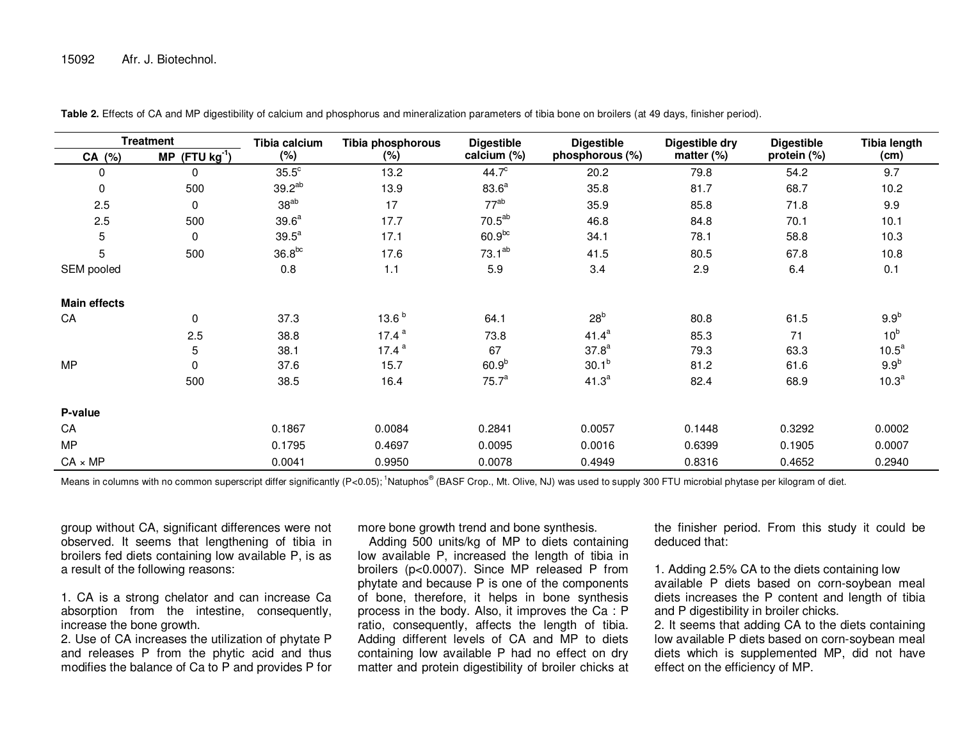| <b>Treatment</b>    |                           | Tibia calcium     | Tibia phosphorous | <b>Digestible</b> | <b>Digestible</b> | Digestible dry | <b>Digestible</b> | Tibia length      |
|---------------------|---------------------------|-------------------|-------------------|-------------------|-------------------|----------------|-------------------|-------------------|
| CA (%)              | $(FTU kg-1)$<br><b>MP</b> | (%)               | $(\% )$           | calcium (%)       | phosphorous (%)   | matter (%)     | protein (%)       | (cm)              |
| 0                   | 0                         | $35.5^{\circ}$    | 13.2              | 44.7 <sup>c</sup> | 20.2              | 79.8           | 54.2              | 9.7               |
| 0                   | 500                       | $39.2^{ab}$       | 13.9              | 83.6 <sup>a</sup> | 35.8              | 81.7           | 68.7              | 10.2              |
| 2.5                 | 0                         | $38^{ab}$         | 17                | $77^{ab}$         | 35.9              | 85.8           | 71.8              | 9.9               |
| 2.5                 | 500                       | 39.6 <sup>a</sup> | 17.7              | $70.5^{ab}$       | 46.8              | 84.8           | 70.1              | 10.1              |
| 5                   | 0                         | 39.5 <sup>a</sup> | 17.1              | $60.9^{bc}$       | 34.1              | 78.1           | 58.8              | 10.3              |
| 5                   | 500                       | $36.8^{bc}$       | 17.6              | $73.1^{ab}$       | 41.5              | 80.5           | 67.8              | 10.8              |
| SEM pooled          |                           | 0.8               | 1.1               | 5.9               | 3.4               | 2.9            | 6.4               | 0.1               |
| <b>Main effects</b> |                           |                   |                   |                   |                   |                |                   |                   |
| CA                  | 0                         | 37.3              | 13.6 <sup>b</sup> | 64.1              | 28 <sup>b</sup>   | 80.8           | 61.5              | 9.9 <sup>b</sup>  |
|                     | 2.5                       | 38.8              | 17.4 $a$          | 73.8              | $41.4^{a}$        | 85.3           | 71                | 10 <sup>b</sup>   |
|                     | 5                         | 38.1              | 17.4 <sup>a</sup> | 67                | 37.8 <sup>a</sup> | 79.3           | 63.3              | 10.5 <sup>a</sup> |
| <b>MP</b>           | 0                         | 37.6              | 15.7              | $60.9^{b}$        | $30.1^{b}$        | 81.2           | 61.6              | 9.9 <sup>b</sup>  |
|                     | 500                       | 38.5              | 16.4              | 75.7 <sup>a</sup> | $41.3^{a}$        | 82.4           | 68.9              | 10.3 <sup>a</sup> |
| P-value             |                           |                   |                   |                   |                   |                |                   |                   |
| CA                  |                           | 0.1867            | 0.0084            | 0.2841            | 0.0057            | 0.1448         | 0.3292            | 0.0002            |
| <b>MP</b>           |                           | 0.1795            | 0.4697            | 0.0095            | 0.0016            | 0.6399         | 0.1905            | 0.0007            |
| $CA \times MP$      |                           | 0.0041            | 0.9950            | 0.0078            | 0.4949            | 0.8316         | 0.4652            | 0.2940            |

**Table 2.** Effects of CA and MP digestibility of calcium and phosphorus and mineralization parameters of tibia bone on broilers (at 49 days, finisher period).

Means in columns with no common superscript differ significantly (P<0.05); <sup>1</sup>Natuphos® (BASF Crop., Mt. Olive, NJ) was used to supply 300 FTU microbial phytase per kilogram of diet.

group without CA, significant differences were not observed. It seems that lengthening of tibia in broilers fed diets containing low available P, is as a result of the following reasons:

1. CA is a strong chelator and can increase Ca absorption from the intestine, consequently, increase the bone growth.

 2. Use of CA increases the utilization of phytate P and releases P from the phytic acid and thus modifies the balance of Ca to P and provides P for more bone growth trend and bone synthesis.

 Adding 500 units/kg of MP to diets containing low available P, increased the length of tibia in broilers (p<0.0007). Since MP released P from phytate and because P is one of the components of bone, therefore, it helps in bone synthesis process in the body. Also, it improves the Ca : P ratio, consequently, affects the length of tibia. Adding different levels of CA and MP to diets containing low available P had no effect on dry matter and protein digestibility of broiler chicks at the finisher period. From this study it could be deduced that:

1. Adding 2.5% CA to the diets containing low available P diets based on corn-soybean meal diets increases the P content and length of tibia and P digestibility in broiler chicks.

 2. It seems that adding CA to the diets containing low available P diets based on corn-soybean meal diets which is supplemented MP, did not have effect on the efficiency of MP.